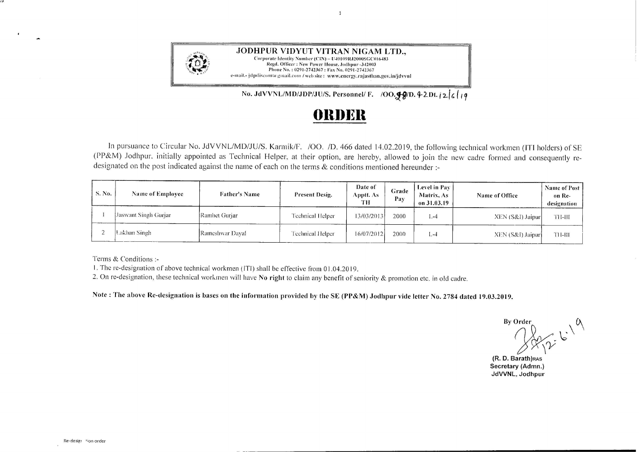

.JODHPUR VIDYUT VITRAN NIGAM LTD., Corporate Identity Number (CIN) - U40109RJ2000SGC016483 Regd. Officer: New Power House, Jodhpur -342003 Phone No.: 0291-2742367: Fax No. 029I-2742J67 e-mail.- jdpdiscom/a-gmail.com / web site: www.energy.rajasthan.gov.in/jdvvnl

No. JdVVNL/MD/JDP/JU/S. Personnel/ F. /OO.99/D. 4-2Dt.  $i2$ / $i$ / $i$ 

## **()lll)l~ll**

 $\overline{1}$ 

In pursuance to Circular No. JdVVNL/MD/JU/S. Karmik/F. /OO. /D. 466 dated 14.02.2019, the following technical workmen (ITI holders) of SE (PP&M) Jodhpur. initially appointed as Technical Helper, at their option, are hereby, allowed to join the new cadre formed and consequently redesignated on the post indicated against the name of each on the terms & conditions mentioned hereunder :-

| S. No. | Name of Employee     | <b>Father's Name</b> | Present Desig.   | Date of<br>Apptt. As<br>TН | Grade<br>Pay | Level in Pay<br><b>Matrix, As</b><br>on 31.03.19 | <b>Name of Office</b> | Name of Post<br>on Re-<br>designation |
|--------|----------------------|----------------------|------------------|----------------------------|--------------|--------------------------------------------------|-----------------------|---------------------------------------|
|        | Jaswant Singh Gurjar | Ramhet Gurjar        | Technical Helper | 13/03/2013                 | 2000         | $-4$                                             | $XEN(S&I)$ Jaipur     | ти-ш                                  |
|        | Lakhan Singh         | Rameshwar Dava       | Technical Helper | 16/07/2012                 | 2000         | $1 - 1$                                          | XEN (S&I) Jaipur      | TH-HI                                 |

Terms & Conditions :-

1. The re-designation of above technical workmen (IT!) shall be effective from O 1.04.2019.

2. On re-designation, these technical workmen will have **No right** to claim any benefit of seniority & promotion etc. in old cadre.

**Note: The above Re-designation is bases on the information provided by the SE (PP&M) Jodhpur vide letter No. 2784 dated 19.03.2019.** 

By Order

**(R. D. Barath)RAS Secretary (Admn.) JdVVNL, Jodhpur**